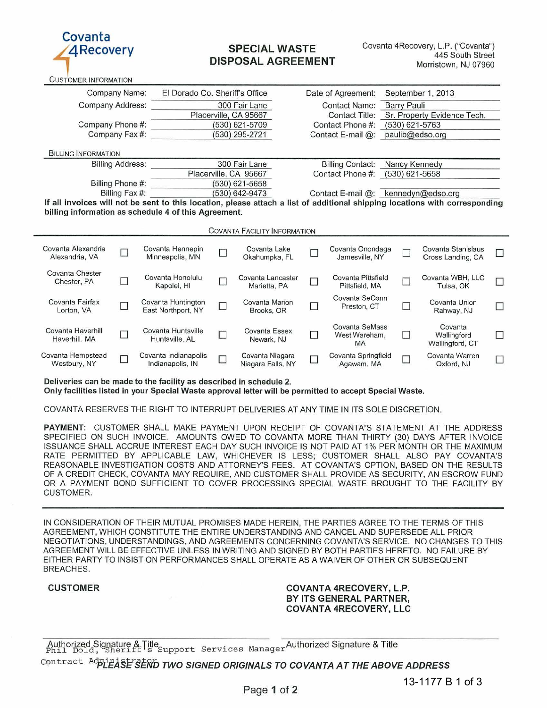

CUSTOMER INFORMATION

# SPECIAL WASTE DISPOSAL AGREEMENT

Company Name: EI Dorado Co. Sheriff's Office Date of Agreement: September 1, 2013 Company Address: \_ \_ \_ \_ \_ \_ \_ \_ \_ 300 Fair Lane Placerville, CA 95667<br>(530) 621-5709 Contact Name: Barry Pauli<br>Contact Title: Sr. Property Sr. Property Evidence Tech. Company Phone #:  $\overline{ }$  (530) 621-5709<br>Company Fax #:  $\overline{ }$  (530) 295-2721 Company Fax #: **BILLING INFORMATION** Billing Address: 300 Fair Lane Placerville, CA 95667 Billing Phone #: (530) 621-5658<br>Billing Fax #: (530) 642-9473 Contact Phone #: (530) 621-5763 Contact E-mail @: paulib@edso.org Billing Contact: Nancy Kennedy<br>Contact Phone #: (530) 621-5658  $(530) 621 - 5658$ (530) 642-9473 Contact E-mail @: kennedyn@edso.org **If all invoices will not be sent to this location, please attach a list of additional shipping locations with corresponding**  billing information as schedule 4 of this Agreement. **COVANTA FACILITY INFORMATION** Covanta Alexandria 0 Covanta Hennepin 0 Covanta Lake 0 Covanta Onondaga 0 Covanta Stanislaus vanta Alexandria de Covanta Hennepin de Covanta Lake de Covanta Onondaga de Covanta Stanislaus de Cross Landing, CA<br>Alexandria, VA de Minneapolis, MN de Okahumpka, FL de Jamesville, NY de Cross Landing, CA Covanta Chester Covanta Honolulu Covanta Lancaster □ Covanta Pittsfield □ Covanta WBH, LLC □<br>Chester, PA Kapolei, HI Marietta, PA Pittsfield, MA Tulsa, OK Covanta Fairfax <sub>[ ]</sub> Covanta Huntington <sub>[ ]</sub> Covanta Marion Covanta Covanta Union Covanta Union vanta Fairrax D Covanta Huntington D Covanta Marion D Preston, CT D Covanta Union D<br>Lorton, VA D East Northport, NY D Brooks, OR D Preston, CT D Rahway, NJ D Covanta Haverhill Covanta Huntsville Covanta Essex Covanta SeMass Covanta Covanta<br>Covanta Covanta Covanta Huntsville AL Covanta Essex D West Wareham, D Wallingford vanta Haverhill Covanta Huntsville Covanta Essex C West Wareham, C Wallingford C<br>Haverhill, MA D Huntsville, AL Newark, NJ Mexic MA Mollingford CT MA Wallingford, CT Covanta Hempstead Covanta Indianapolis Covanta Niagara Covanta Springfield Covanta Warren<br>Westburv. NY Indianapolis. IN Niagara Falls. NY Agawam. MA Oxford. NJ vanta Hempstead Covanta Indianapolis Covanta Niagara Covanta Springfield Covanta Warren Covanta View Covanta I<br>Westbury, NY Indianapolis, IN Niagara Falls, NY Agawam, MA Oxford, NJ D

**Deliveries can be made to the facility as described in schedule 2.**  Only facilities listed in your Special Waste approval letter will be permitted to accept Special Waste.

COVANTA RESERVES THE RIGHT TO INTERRUPT DELIVERIES AT ANY TIME IN ITS SOLE DISCRETION.

PAYMENT: CUSTOMER SHALL MAKE PAYMENT UPON RECEIPT OF COVANTA"S STATEMENT AT THE ADDRESS SPECIFIED ON SUCH INVOICE. AMOUNTS OWED TO COVANTA MORE THAN THIRTY (30) DAYS AFTER INVOICE ISSUANCE SHALL ACCRUE INTEREST EACH DAY SUCH INVOICE IS NOT PAID AT 1% PER MONTH OR THE MAXIMUM RATE PERMITTED BY APPLICABLE LAW, WHICHEVER IS LESS; CUSTOMER SHALL ALSO PAY COVANTA'S REASONABLE INVESTIGATION COSTS AND ATTORNEY'S FEES. AT COVANTA'S OPTION, BASED ON THE RESULTS OF A CREDIT CHECK, COVANTA MAY REQUIRE, AND CUSTOMER SHALL PROVIDE AS SECURITY, AN ESCROW FUND OR A PAYMENT BOND SUFFICIENT TO COVER PROCESSING SPECIAL WASTE BROUGHT TO THE FACILITY BY CUSTOMER.

IN CONSIDERATION OF THEIR MUTUAL PROMISES MADE HEREIN, THE PARTIES AGREE TO THE TERMS OF THIS AGREEMENT, WHICH CONSTITUTE THE ENTIRE UNDERSTANDING AND CANCEL AND SUPERSEDE ALL PRIOR NEGOTIATIONS, UNDERSTANDINGS, AND AGREEMENTS CONCERNING COVANTA'S SERVICE. NO CHANGES TO THIS AGREEMENT WILL BE EFFECTIVE UNLESS IN WRITING AND SIGNED BY BOTH PARTIES HERETO. NO FAILURE BY EITHER PARTY TO INSIST ON PERFORMANCES SHALL OPERATE AS A WAIVER OF OTHER OR SUBSEQUENT BREACHES.

CUSTOMER COVANTA 4RECOVERY, L.P. BY ITS GENERAL PARTNER, COVANTA 4RECOVERY, LLC

Authorized Signature & Title<br>Phil Dold, Sheriff Support Services ManagerAuthorized Signature & Title

Contract Administration TWO SIGNED ORIGINALS TO COVANTA AT THE ABOVE ADDRESS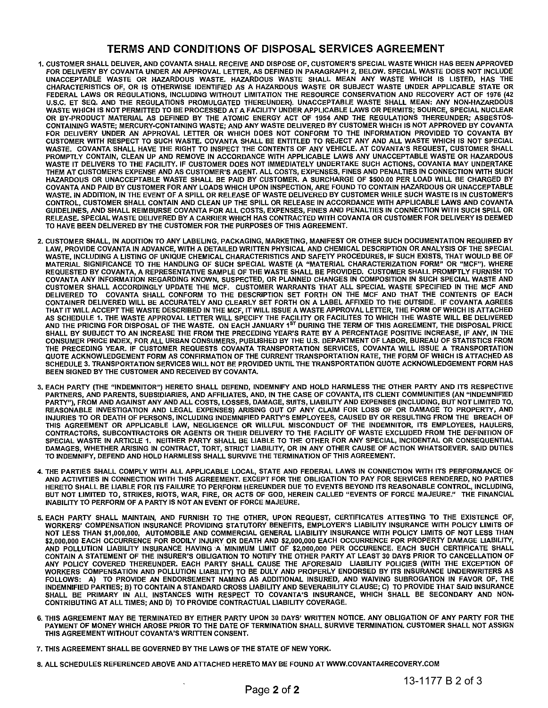# **TERMS AND CONDITIONS OF DISPOSAL SERVICES AGREEMENT**

- 1. CUSTOMER SHALL DELIVER, AND COVANTA SHALL RECEIVE AND DISPOSE OF, CUSTOMER'S SPECIAL WASTE WHICH HAS BEEN APPROVED FOR DELIVERY BY COVANTA UNDER AN APPROVAL LETTER, AS DEFINED IN PARAGRAPH 2, BELOW. SPECIAL WASTE DOES NOT INCLUDE UNACCEPTABLE WASTE OR HAZARDOUS WASTE. HAZARDOUS WASTE SHALL MEAN ANY WASTE WHICH IS LISTED, HAS THE CHARACTERISTICS OF, OR IS OTHERWISE IDENTIFIED AS A HAZARDOUS WASTE OR SUBJECT WASTE UNDER APPLICABLE STATE OR FEDERAL LAWS OR REGULATIONS, INCLUDING WITHOUT LIMITATION THE RESOURCE CONSERVATION AND RECOVERY ACT OF 1976 (42 U.S.C. ET SEQ. AND THE REGULATIONS PROMULGATED THEREUNDER). UNACCEPTABLE WASTE SHALL MEAN: ANY NON·HAZARDOUS WASTE WHICH IS NOT PERMITTED TO BE PROCESSED AT A FACILITY UNDER APPLICABLE LAWS OR PERMITS; SOURCE, SPECIAL NUCLEAR OR BY·PRODUCT MATERIAL AS DEFINED BY THE ATOMIC ENERGY ACT OF 1954 AND THE REGULATIONS THEREUNDER; ASBESTOS· CONTAINING WASTE; MERCURY·CONTAINING WASTE; AND ANY WASTE DELIVERED BY CUSTOMER WHICH IS NOT APPROVED BY COVANTA FOR DELIVERY UNDER AN APPROVAL LETTER OR WHICH DOES NOT CONFORM TO THE INFORMATION PROVIDED TO COVANTA BY CUSTOMER WITH RESPECT TO SUCH WASTE. COVANTA SHALL BE ENTITLED TO REJECT ANY AND ALL WASTE WHICH IS NOT SPECIAL WASTE. COVANTA SHALL HAVE THE RIGHT TO INSPECT THE CONTENTS OF ANY VEHICLE. AT COVANTA'S REQUEST, CUSTOMER SHALL PROMPTLY CONTAIN, CLEAN UP AND REMOVE IN ACCORDANCE WITH APPLICABLE LAWS ANY UNACCEPTABLE WASTE OR HAZARDOUS WASTE IT DELIVERS TO THE FACILITY. IF CUSTOMER DOES NOT IMMEDIATELY UNDERTAKE SUCH ACTIONS, COVANTA MAY UNDERTAKE THEM AT CUSTOMER'S EXPENSE AND AS CUSTOMER'S AGENT. ALL COSTS, EXPENSES, FINES AND PENALTIES IN CONNECTION WITH SUCH HAZARDOUS OR UNACCEPTABLE WASTE SHALL BE PAID BY CUSTOMER. A SURCHARGE OF \$500.00 PER LOAD WILL BE CHARGED BY COVANTA AND PAID BY CUSTOMER FOR ANY LOADS WHICH UPON INSPECTION, ARE FOUND TO CONTAIN HAZARDOUS OR UNACCEPTABLE WASTE. IN ADDITION, IN THE EVENT OF A SPILL OR RELEASE OF WASTE DELIVERED BY CUSTOMER WHILE SUCH WASTE IS IN CUSTOMER'S CONTROL, CUSTOMER SHALL CONTAIN AND CLEAN UP THE SPILL OR RELEASE IN ACCORDANCE WITH APPLICABLE LAWS AND COVANTA GUIDELINES, AND SHALL REIMBURSE COVANTA FOR ALL COSTS, EXPENSES, FINES AND PENALTIES IN CONNECTION WITH SUCH SPILL OR RELEASE. SPECIAL WASTE DELIVERED BY A CARRIER WHICH HAS CONTRACTED WITH COVANTA OR CUSTOMER FOR DELIVERY IS DEEMED TO HAVE BEEN DELIVERED BY THE CUSTOMER FOR THE PURPOSES OF THIS AGREEMENT.
- 2. CUSTOMER SHALL, IN ADDITION TO ANY LABELING, PACKAGING, MARKETING, MANIFEST OR OTHER SUCH DOCUMENTATION REQUIRED BY LAW, PROVIDE COVANTA IN ADVANCE, WITH A DETAILED WRITTEN PHYSICAL AND CHEMICAL DESCRIPTION OR ANALYSIS OF THE SPECIAL WASTE, INCLUDING A LISTING OF UNIQUE CHEMICAL CHARACTERISTICS AND SAFETY PROCEDURES, IF SUCH EXISTS, THAT WOULD BE OF MATERIAL SIGNIFICANCE TO THE HANDLING OF SUCH SPECIAL WASTE (A "MATERIAL CHARACTERIZATION FORM" OR "MCF"). WHERE REQUESTED BY COVANTA, A REPRESENTATIVE SAMPLE OF THE WASTE SHALL BE PROVIDED. CUSTOMER SHALL PROMPTLY FURNISH TO COVANTA ANY INFORMATION REGARDING KNOWN, SUSPECTED, OR PLANNED CHANGES IN COMPOSITION IN SUCH SPECIAL WASTE AND CUSTOMER SHALL ACCORDINGLY UPDATE THE MCF. CUSTOMER WARRANTS THAT ALL SPECIAL WASTE SPECIFIED IN THE MCF AND DELIVERED TO COVANTA SHALL CONFORM TO THE DESCRIPTION SET FORTH ON THE MCF AND THAT THE CONTENTS OF EACH CONTAINER DELIVERED WILL BE ACCURATELY AND CLEARLY SET FORTH ON A LABEL AFFIXED TO THE OUTSIDE. IF COVANTA AGREES THAT ITWILL ACCEPT THE WASTE DESCRIBED IN THE MCF, IT WILL ISSUE A WASTE APPROVAL LETTER, THE FORM OF WHICH IS ATTACHED AS SCHEDULE 1. THE WASTE APPROVAL LETTER WILL SPECIFY THE FACILITY OR FACILITES TO WHICH THE WASTE WILL BE DELIVERED<br>AND THE PRICING FOR DISPOSAL OF THE WASTE. ON EACH JANUARY 1<sup>ST</sup> DURING THE TERM OF THIS AGREEMENT, THE SHALL BY SUBJECT TO AN INCREASE THE FROM THE PRECEDING YEAR'S RATE BY A PERCENTAGE POSITIVE INCREASE, IF ANY, IN THE CONSUMER PRICE INDEX, FOR ALL URBAN CONSUMERS, PUBLISHED BY THE U.S. DEPARTMENT OF LABOR, BUREAU OF STATISTICS FROM THE PRECEDING YEAR. IF CUSTOMER REQUESTS COVANTA TRANSPORTATION SERVICES, COVANTA WILL ISSUE A TRANSPORTATION QUOTE ACKNOWLEDGEMENT FORM AS CONFIRMATION OF THE CURRENT TRANSPORTATION RATE, THE FORM OF WHICH IS ATTACHED AS SCHEDULE 3. TRANSPORTATION SERVICES WILL NOT BE PROVIDED UNTIL THE TRANSPORTATION QUOTE ACKNOWLEDGEMENT FORM HAS BEEN SIGNED BY THE CUSTOMER AND RECEIVED BY COVANTA.
- 3. EACH PARTY (THE "INDEMNITOR") HERETO SHALL DEFEND, INDEMNIFY AND HOLD HARMLESS THE OTHER PARTY AND ITS RESPECTIVE PARTNERS, AND PARENTS, SUBSIDIARIES, AND AFFILIATES, AND, IN THE CASE OF COVANTA, ITS CLIENT COMMUNITIES (AN "INDEMNIFIED PARTY"), FROM AND AGAINST ANY AND ALL COSTS, LOSSES, DAMAGE, SUITS, LIABILITY AND EXPENSES (INCLUDING, BUT NOT LIMITED TO, REASONABLE INVESTIGATION AND LEGAL EXPENSES) ARISING OUT OF ANY CLAIM FOR LOSS OF OR DAMAGE TO PROPERTY, AND INJURIES TO OR DEATH OF PERSONS, INCLUDING INDEMNIFIED PARTY'S EMPLOYEES, CAUSED BY OR RESULTING FROM THE BREACH OF THIS AGREEMENT OR APPLICABLE LAW, NEGLIGENCE OR WILLFUL MISCONDUCT OF THE INDEMNITOR, ITS EMPLOYEES, HAULERS, CONTRACTORS, SUBCONTRACTORS OR AGENTS OR THEIR DELIVERY TO THE FACILITY OF WASTE EXCLUDED FROM THE DEFINITION OF SPECIAL WASTE IN ARTICLE 1. NEITHER PARTY SHALL BE LIABLE TO THE OTHER FOR ANY SPECIAL, INCIDENTAL OR CONSEQUENTIAL DAMAGES, WHETHER ARISING IN CONTRACT, TORT, STRICT LIABILITY, OR IN ANY OTHER CAUSE OF ACTION WHATSOEVER. SAID DUTIES TO INDEMNIFY, DEFEND AND HOLD HARMLESS SHALL SURVIVE THE TERMINATION OF THIS AGREEMENT.
- 4. THE PARTIES SHALL COMPLY WITH ALL APPLICABLE LOCAL, STATE AND FEDERAL LAWS IN CONNECTION WITH ITS PERFORMANCE OF AND ACTIVITIES IN CONNECTION WITH THIS AGREEMENT. EXCEPT FOR THE OBLIGATION TO PAY FOR SERVICES RENDERED, NO PARTIES HERETO SHALL BE LIABLE FOR ITS FAILURE TO PERFORM HEREUNDER DUE TO EVENTS BEYOND ITS REASONABLE CONTROL, INCLUDING, BUT NOT LIMITED TO, STRIKES, RIOTS, WAR, FIRE, OR ACTS OF GOD, HEREIN CALLED "EVENTS OF FORCE MAJEURE." THE FINANCIAL INABILITY TO PERFORM OF A PARTY IS NOT AN EVENT OF FORCE MAJEURE.
- 5. EACH PARTY SHALL MAINTAIN, AND FURNISH TO THE OTHER, UPON REQUEST, CERTIFICATES ATTESTING TO THE EXISTENCE OF, WORKERS' COMPENSATION INSURANCE PROVIDING STATUTORY BENEFITS, EMPLOYER'S LIABILITY INSURANCE WITH POLICY LIMITS OF NOT LESS THAN \$1,000,000, AUTOMOBILE AND COMMERCIAL GENERAL LIABILITY INSURANCE WITH POLICY LIMITS OF NOT LESS THAN \$2,000,000 EACH OCCURRENCE FOR BODILY INJURY OR DEATH AND \$2,000,000 EACH OCCURRENCE FOR PROPERTY DAMAGE LIABILITY, AND POLLUTION LIABILITY INSURANCE HAVING 'A 'MINIMUM LIMIT OF \$2,000,000 PER OCCURENCE. EACH SUCH CERTIFICATE SHALL CONTAIN A STATEMENT OF THE INSURER'S OBLIGATION TO NOTIFY THE OTHER PARTY AT LEAST 30 DAYS PRIOR TO CANCELLATION OF ANY POLICY COVERED THEREUNDER. EACH PARTY SHALL CAUSE THE AFORESAID LIABILITY POLICIES (WITH THE EXCEPTION OF WORKERS COMPENSATION AND POLLUTION LIABILITY) TO BE DULY AND PROPERLY ENDORSED BY ITS INSURANCE UNDERWRITERS AS FOLLOWS: A) TO PROVIDE AN ENDORSEMENT NAMING AS ADDITIONAL INSURED, AND WAIVING SUBROGATION IN FAVOR OF, THE INDEMNIFIED PARTIES; B) TO CONTAIN A STANDARD CROSS LIABILITY AND SEVERABILITY CLAUSE; C) TO PROVIDE THAT SAID INSURANCE SHALL BE PRIMARY IN ALL INSTANCES WITH RESPECT TO COVANTA'S INSURANCE, WHICH SHALL BE SECONDARY AND NON· CONTRIBUTING AT ALL TIMES; AND D) TO PROVIDE CONTRACTUAL LIABILITY COVERAGE.
- 6. THIS AGREEMENT MAY BE TERMINATED BY EITHER PARTY UPON 30 DAYS' WRITTEN NOTICE. ANY OBLIGATION OF ANY PARTY FOR THE PAYMENT OF MONEY WHICH AROSE PRIOR TO THE DATE OF TERMINATION SHALL SURVIVE TERMINATION. CUSTOMER SHALL NOT ASSIGN THIS AGREEMENT WITHOUT COVANTA'S WRITTEN CONSENT.
- 7. THIS AGREEMENT SHALL BE GOVERNED BY THE LAWS OF THE STATE OF NEW YORK.
- 8. ALL SCHEDULES REFERENCED ABOVE AND ATTACHED HERETO MAY BE FOUND AT WWW.COVANTA4RECOVERY.COM